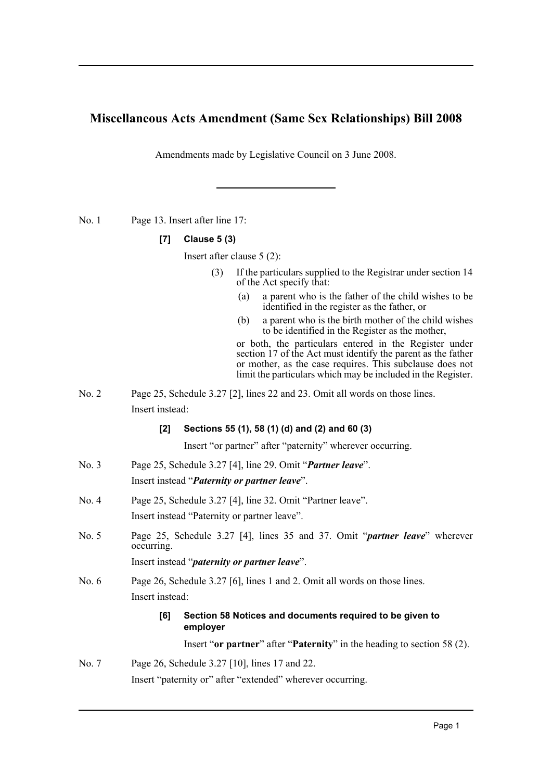## **Miscellaneous Acts Amendment (Same Sex Relationships) Bill 2008**

Amendments made by Legislative Council on 3 June 2008.

No. 1 Page 13. Insert after line 17:

### **[7] Clause 5 (3)**

Insert after clause 5 (2):

- (3) If the particulars supplied to the Registrar under section 14 of the Act specify that:
	- (a) a parent who is the father of the child wishes to be identified in the register as the father, or
	- (b) a parent who is the birth mother of the child wishes to be identified in the Register as the mother,

or both, the particulars entered in the Register under section 17 of the Act must identify the parent as the father or mother, as the case requires. This subclause does not limit the particulars which may be included in the Register.

No. 2 Page 25, Schedule 3.27 [2], lines 22 and 23. Omit all words on those lines. Insert instead:

### **[2] Sections 55 (1), 58 (1) (d) and (2) and 60 (3)**

Insert "or partner" after "paternity" wherever occurring.

- No. 3 Page 25, Schedule 3.27 [4], line 29. Omit "*Partner leave*". Insert instead "*Paternity or partner leave*".
- No. 4 Page 25, Schedule 3.27 [4], line 32. Omit "Partner leave". Insert instead "Paternity or partner leave".
- No. 5 Page 25, Schedule 3.27 [4], lines 35 and 37. Omit "*partner leave*" wherever occurring. Insert instead "*paternity or partner leave*".
- No. 6 Page 26, Schedule 3.27 [6], lines 1 and 2. Omit all words on those lines. Insert instead:

### **[6] Section 58 Notices and documents required to be given to employer**

Insert "**or partner**" after "**Paternity**" in the heading to section 58 (2).

# No. 7 Page 26, Schedule 3.27 [10], lines 17 and 22. Insert "paternity or" after "extended" wherever occurring.